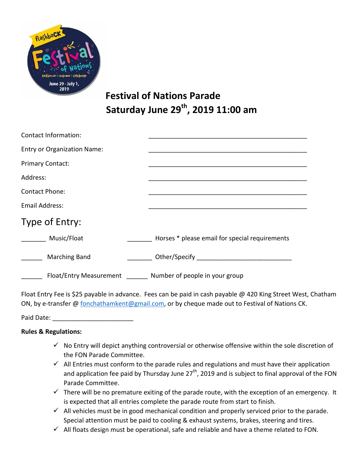

# **Festival of Nations Parade Saturday June 29th, 2019 11:00 am**

| Contact Information:               |                                                |
|------------------------------------|------------------------------------------------|
| <b>Entry or Organization Name:</b> |                                                |
| <b>Primary Contact:</b>            |                                                |
| Address:                           |                                                |
| Contact Phone:                     |                                                |
| Email Address:                     |                                                |
| Type of Entry:                     |                                                |
| Music/Float                        | Horses * please email for special requirements |
| <b>Marching Band</b>               |                                                |
| Float/Entry Measurement            | Number of people in your group                 |

Float Entry Fee is \$25 payable in advance. Fees can be paid in cash payable @ 420 King Street West, Chatham ON, by e-transfer @ [fonchathamkent@gmail.com,](mailto:fonchathamkent@gmail.com) or by cheque made out to Festival of Nations CK.

Paid Date:

## **Rules & Regulations:**

- $\checkmark$  No Entry will depict anything controversial or otherwise offensive within the sole discretion of the FON Parade Committee.
- $\checkmark$  All Entries must conform to the parade rules and regulations and must have their application and application fee paid by Thursday June  $27<sup>th</sup>$ , 2019 and is subject to final approval of the FON Parade Committee.
- $\checkmark$  There will be no premature exiting of the parade route, with the exception of an emergency. It is expected that all entries complete the parade route from start to finish.
- $\checkmark$  All vehicles must be in good mechanical condition and properly serviced prior to the parade. Special attention must be paid to cooling & exhaust systems, brakes, steering and tires.
- $\checkmark$  All floats design must be operational, safe and reliable and have a theme related to FON.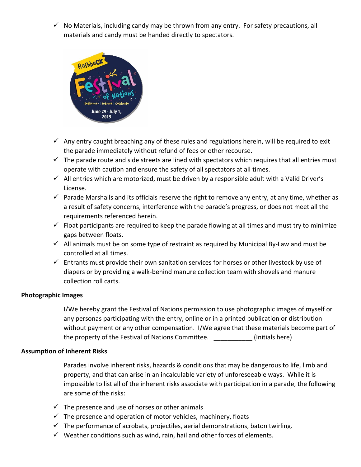$\checkmark$  No Materials, including candy may be thrown from any entry. For safety precautions, all materials and candy must be handed directly to spectators.



- $\checkmark$  Any entry caught breaching any of these rules and regulations herein, will be required to exit the parade immediately without refund of fees or other recourse.
- $\checkmark$  The parade route and side streets are lined with spectators which requires that all entries must operate with caution and ensure the safety of all spectators at all times.
- $\checkmark$  All entries which are motorized, must be driven by a responsible adult with a Valid Driver's License.
- $\checkmark$  Parade Marshalls and its officials reserve the right to remove any entry, at any time, whether as a result of safety concerns, interference with the parade's progress, or does not meet all the requirements referenced herein.
- $\checkmark$  Float participants are required to keep the parade flowing at all times and must try to minimize gaps between floats.
- $\checkmark$  All animals must be on some type of restraint as required by Municipal By-Law and must be controlled at all times.
- $\checkmark$  Entrants must provide their own sanitation services for horses or other livestock by use of diapers or by providing a walk-behind manure collection team with shovels and manure collection roll carts.

## **Photographic Images**

I/We hereby grant the Festival of Nations permission to use photographic images of myself or any personas participating with the entry, online or in a printed publication or distribution without payment or any other compensation. I/We agree that these materials become part of the property of the Festival of Nations Committee. (Initials here)

#### **Assumption of Inherent Risks**

Parades involve inherent risks, hazards & conditions that may be dangerous to life, limb and property, and that can arise in an incalculable variety of unforeseeable ways. While it is impossible to list all of the inherent risks associate with participation in a parade, the following are some of the risks:

- $\checkmark$  The presence and use of horses or other animals
- $\checkmark$  The presence and operation of motor vehicles, machinery, floats
- $\checkmark$  The performance of acrobats, projectiles, aerial demonstrations, baton twirling.
- $\checkmark$  Weather conditions such as wind, rain, hail and other forces of elements.